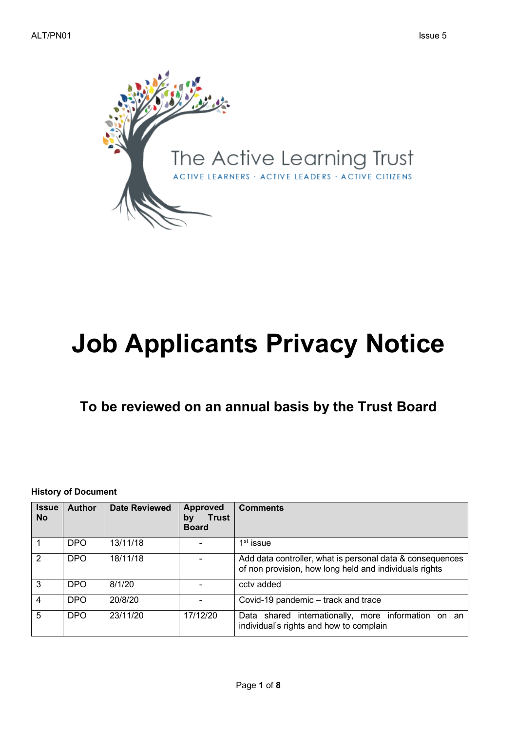

# **Job Applicants Privacy Notice**

## **To be reviewed on an annual basis by the Trust Board**

**History of Document**

| <b>Issue</b><br><b>No</b> | <b>Author</b> | <b>Date Reviewed</b> | <b>Approved</b><br><b>Trust</b><br>by<br><b>Board</b> | <b>Comments</b>                                                                                                     |
|---------------------------|---------------|----------------------|-------------------------------------------------------|---------------------------------------------------------------------------------------------------------------------|
|                           | <b>DPO</b>    | 13/11/18             |                                                       | $1st$ issue                                                                                                         |
| 2                         | <b>DPO</b>    | 18/11/18             |                                                       | Add data controller, what is personal data & consequences<br>of non provision, how long held and individuals rights |
| 3                         | <b>DPO</b>    | 8/1/20               |                                                       | cctv added                                                                                                          |
| 4                         | <b>DPO</b>    | 20/8/20              |                                                       | Covid-19 pandemic - track and trace                                                                                 |
| 5                         | DPO           | 23/11/20             | 17/12/20                                              | Data shared internationally, more information on an<br>individual's rights and how to complain                      |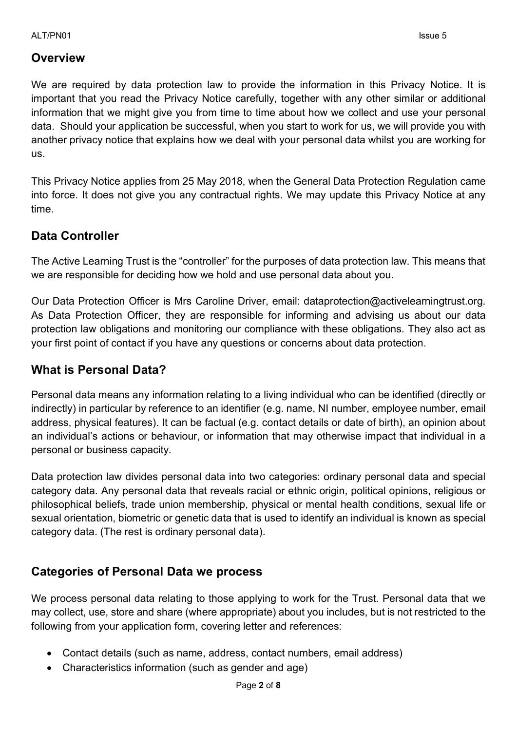#### **Overview**

We are required by data protection law to provide the information in this Privacy Notice. It is important that you read the Privacy Notice carefully, together with any other similar or additional information that we might give you from time to time about how we collect and use your personal data. Should your application be successful, when you start to work for us, we will provide you with another privacy notice that explains how we deal with your personal data whilst you are working for us.

This Privacy Notice applies from 25 May 2018, when the General Data Protection Regulation came into force. It does not give you any contractual rights. We may update this Privacy Notice at any time.

## **Data Controller**

The Active Learning Trust is the "controller" for the purposes of data protection law. This means that we are responsible for deciding how we hold and use personal data about you.

Our Data Protection Officer is Mrs Caroline Driver, email: dataprotection@activelearningtrust.org. As Data Protection Officer, they are responsible for informing and advising us about our data protection law obligations and monitoring our compliance with these obligations. They also act as your first point of contact if you have any questions or concerns about data protection.

#### **What is Personal Data?**

Personal data means any information relating to a living individual who can be identified (directly or indirectly) in particular by reference to an identifier (e.g. name, NI number, employee number, email address, physical features). It can be factual (e.g. contact details or date of birth), an opinion about an individual's actions or behaviour, or information that may otherwise impact that individual in a personal or business capacity.

Data protection law divides personal data into two categories: ordinary personal data and special category data. Any personal data that reveals racial or ethnic origin, political opinions, religious or philosophical beliefs, trade union membership, physical or mental health conditions, sexual life or sexual orientation, biometric or genetic data that is used to identify an individual is known as special category data. (The rest is ordinary personal data).

#### **Categories of Personal Data we process**

We process personal data relating to those applying to work for the Trust. Personal data that we may collect, use, store and share (where appropriate) about you includes, but is not restricted to the following from your application form, covering letter and references:

- Contact details (such as name, address, contact numbers, email address)
- Characteristics information (such as gender and age)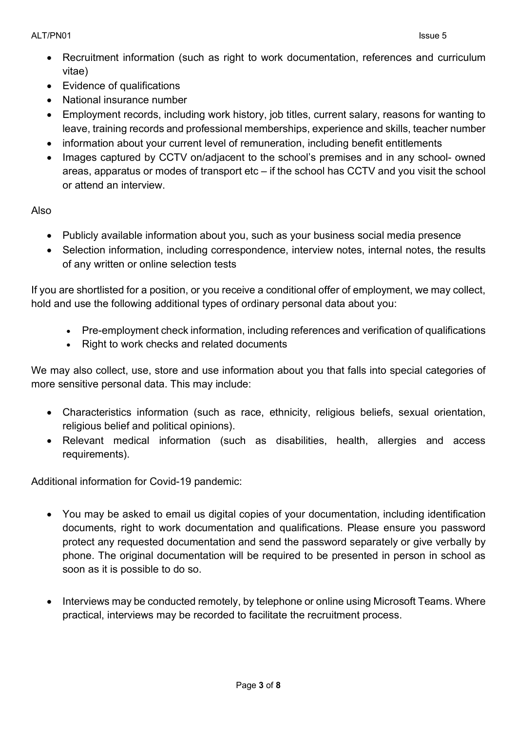- Recruitment information (such as right to work documentation, references and curriculum vitae)
- Evidence of qualifications
- National insurance number
- Employment records, including work history, job titles, current salary, reasons for wanting to leave, training records and professional memberships, experience and skills, teacher number
- information about your current level of remuneration, including benefit entitlements
- Images captured by CCTV on/adiacent to the school's premises and in any school- owned areas, apparatus or modes of transport etc – if the school has CCTV and you visit the school or attend an interview.

Also

- Publicly available information about you, such as your business social media presence
- Selection information, including correspondence, interview notes, internal notes, the results of any written or online selection tests

If you are shortlisted for a position, or you receive a conditional offer of employment, we may collect, hold and use the following additional types of ordinary personal data about you:

- Pre-employment check information, including references and verification of qualifications
- Right to work checks and related documents

We may also collect, use, store and use information about you that falls into special categories of more sensitive personal data. This may include:

- Characteristics information (such as race, ethnicity, religious beliefs, sexual orientation, religious belief and political opinions).
- Relevant medical information (such as disabilities, health, allergies and access requirements).

Additional information for Covid-19 pandemic:

- You may be asked to email us digital copies of your documentation, including identification documents, right to work documentation and qualifications. Please ensure you password protect any requested documentation and send the password separately or give verbally by phone. The original documentation will be required to be presented in person in school as soon as it is possible to do so.
- Interviews may be conducted remotely, by telephone or online using Microsoft Teams. Where practical, interviews may be recorded to facilitate the recruitment process.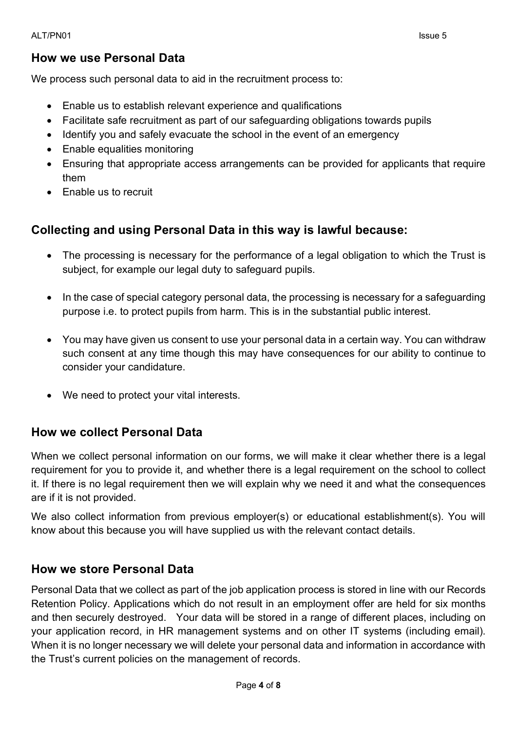#### ALT/PN01 issue 5

#### **How we use Personal Data**

We process such personal data to aid in the recruitment process to:

- Enable us to establish relevant experience and qualifications
- Facilitate safe recruitment as part of our safeguarding obligations towards pupils
- Identify you and safely evacuate the school in the event of an emergency
- Enable equalities monitoring
- Ensuring that appropriate access arrangements can be provided for applicants that require them
- Enable us to recruit

## **Collecting and using Personal Data in this way is lawful because:**

- The processing is necessary for the performance of a legal obligation to which the Trust is subject, for example our legal duty to safeguard pupils.
- In the case of special category personal data, the processing is necessary for a safeguarding purpose i.e. to protect pupils from harm. This is in the substantial public interest.
- You may have given us consent to use your personal data in a certain way. You can withdraw such consent at any time though this may have consequences for our ability to continue to consider your candidature.
- We need to protect your vital interests.

#### **How we collect Personal Data**

When we collect personal information on our forms, we will make it clear whether there is a legal requirement for you to provide it, and whether there is a legal requirement on the school to collect it. If there is no legal requirement then we will explain why we need it and what the consequences are if it is not provided.

We also collect information from previous employer(s) or educational establishment(s). You will know about this because you will have supplied us with the relevant contact details.

#### **How we store Personal Data**

Personal Data that we collect as part of the job application process is stored in line with our Records Retention Policy. Applications which do not result in an employment offer are held for six months and then securely destroyed. Your data will be stored in a range of different places, including on your application record, in HR management systems and on other IT systems (including email). When it is no longer necessary we will delete your personal data and information in accordance with the Trust's current policies on the management of records.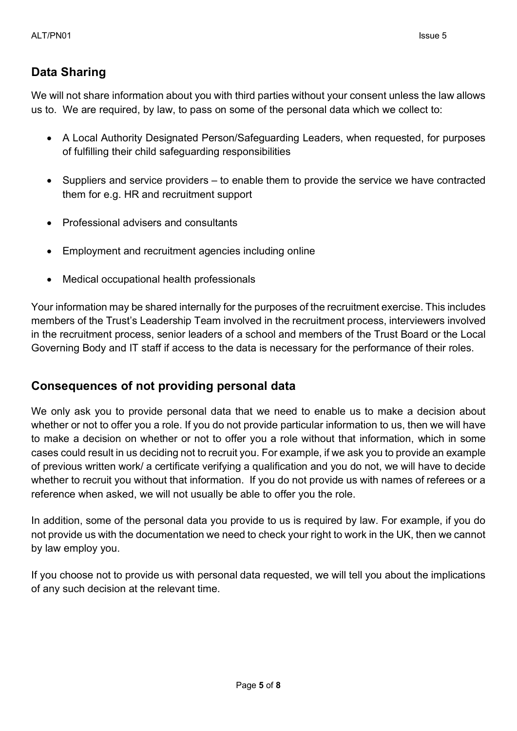## **Data Sharing**

We will not share information about you with third parties without your consent unless the law allows us to. We are required, by law, to pass on some of the personal data which we collect to:

- A Local Authority Designated Person/Safeguarding Leaders, when requested, for purposes of fulfilling their child safeguarding responsibilities
- Suppliers and service providers to enable them to provide the service we have contracted them for e.g. HR and recruitment support
- Professional advisers and consultants
- Employment and recruitment agencies including online
- Medical occupational health professionals

Your information may be shared internally for the purposes of the recruitment exercise. This includes members of the Trust's Leadership Team involved in the recruitment process, interviewers involved in the recruitment process, senior leaders of a school and members of the Trust Board or the Local Governing Body and IT staff if access to the data is necessary for the performance of their roles.

#### **Consequences of not providing personal data**

We only ask you to provide personal data that we need to enable us to make a decision about whether or not to offer you a role. If you do not provide particular information to us, then we will have to make a decision on whether or not to offer you a role without that information, which in some cases could result in us deciding not to recruit you. For example, if we ask you to provide an example of previous written work/ a certificate verifying a qualification and you do not, we will have to decide whether to recruit you without that information. If you do not provide us with names of referees or a reference when asked, we will not usually be able to offer you the role.

In addition, some of the personal data you provide to us is required by law. For example, if you do not provide us with the documentation we need to check your right to work in the UK, then we cannot by law employ you.

If you choose not to provide us with personal data requested, we will tell you about the implications of any such decision at the relevant time.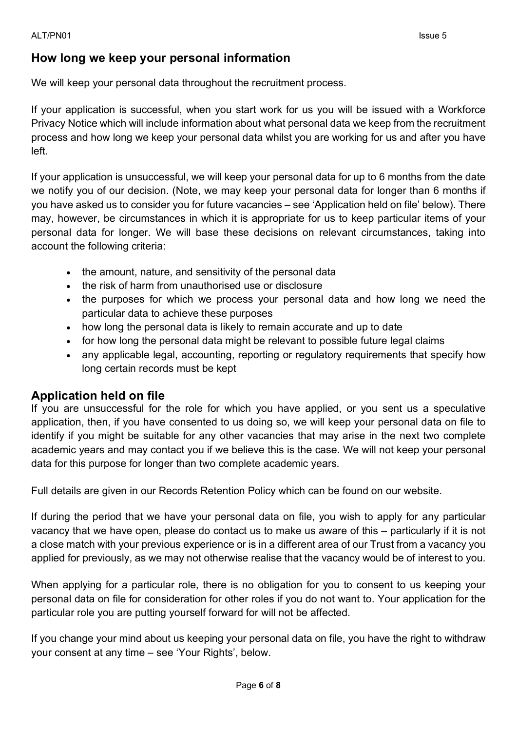#### **How long we keep your personal information**

We will keep your personal data throughout the recruitment process.

If your application is successful, when you start work for us you will be issued with a Workforce Privacy Notice which will include information about what personal data we keep from the recruitment process and how long we keep your personal data whilst you are working for us and after you have left.

If your application is unsuccessful, we will keep your personal data for up to 6 months from the date we notify you of our decision. (Note, we may keep your personal data for longer than 6 months if you have asked us to consider you for future vacancies – see 'Application held on file' below). There may, however, be circumstances in which it is appropriate for us to keep particular items of your personal data for longer. We will base these decisions on relevant circumstances, taking into account the following criteria:

- the amount, nature, and sensitivity of the personal data
- the risk of harm from unauthorised use or disclosure
- the purposes for which we process your personal data and how long we need the particular data to achieve these purposes
- how long the personal data is likely to remain accurate and up to date
- for how long the personal data might be relevant to possible future legal claims
- any applicable legal, accounting, reporting or regulatory requirements that specify how long certain records must be kept

#### **Application held on file**

If you are unsuccessful for the role for which you have applied, or you sent us a speculative application, then, if you have consented to us doing so, we will keep your personal data on file to identify if you might be suitable for any other vacancies that may arise in the next two complete academic years and may contact you if we believe this is the case. We will not keep your personal data for this purpose for longer than two complete academic years.

Full details are given in our Records Retention Policy which can be found on our website.

If during the period that we have your personal data on file, you wish to apply for any particular vacancy that we have open, please do contact us to make us aware of this – particularly if it is not a close match with your previous experience or is in a different area of our Trust from a vacancy you applied for previously, as we may not otherwise realise that the vacancy would be of interest to you.

When applying for a particular role, there is no obligation for you to consent to us keeping your personal data on file for consideration for other roles if you do not want to. Your application for the particular role you are putting yourself forward for will not be affected.

If you change your mind about us keeping your personal data on file, you have the right to withdraw your consent at any time – see 'Your Rights', below.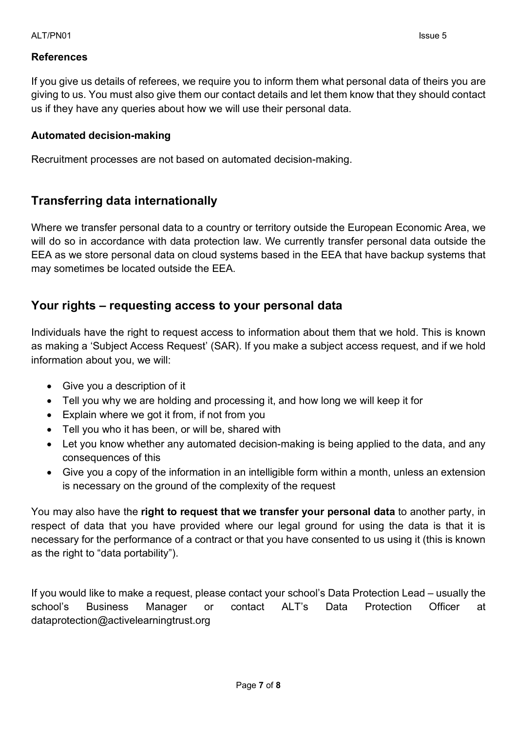#### **References**

If you give us details of referees, we require you to inform them what personal data of theirs you are giving to us. You must also give them our contact details and let them know that they should contact us if they have any queries about how we will use their personal data.

#### **Automated decision-making**

Recruitment processes are not based on automated decision-making.

#### **Transferring data internationally**

Where we transfer personal data to a country or territory outside the European Economic Area, we will do so in accordance with data protection law. We currently transfer personal data outside the EEA as we store personal data on cloud systems based in the EEA that have backup systems that may sometimes be located outside the EEA.

#### **Your rights – requesting access to your personal data**

Individuals have the right to request access to information about them that we hold. This is known as making a 'Subject Access Request' (SAR). If you make a subject access request, and if we hold information about you, we will:

- Give you a description of it
- Tell you why we are holding and processing it, and how long we will keep it for
- Explain where we got it from, if not from you
- Tell you who it has been, or will be, shared with
- Let you know whether any automated decision-making is being applied to the data, and any consequences of this
- Give you a copy of the information in an intelligible form within a month, unless an extension is necessary on the ground of the complexity of the request

You may also have the **right to request that we transfer your personal data** to another party, in respect of data that you have provided where our legal ground for using the data is that it is necessary for the performance of a contract or that you have consented to us using it (this is known as the right to "data portability").

If you would like to make a request, please contact your school's Data Protection Lead – usually the school's Business Manager or contact ALT's Data Protection Officer at dataprotection@activelearningtrust.org